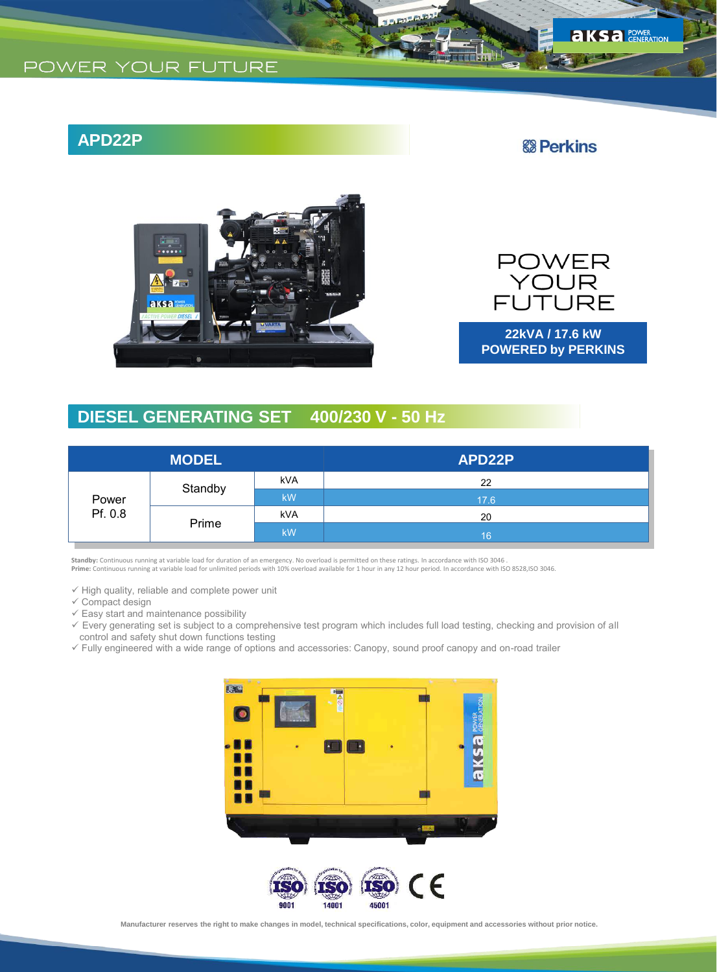## **APD22P**

### **& Perkins**

 $S$ a POWER



POWER<br>YOUR<br>FUTURE

**22kVA / 17.6 kW POWERED by PERKINS**

## **DIESEL GENERATING SET 400/230 V - 50 Hz**

| <b>MODEL</b>     |         |            | APD22P |
|------------------|---------|------------|--------|
| Power<br>Pf. 0.8 | Standby | <b>kVA</b> | 22     |
|                  |         | <b>kW</b>  | 17.6   |
|                  | Prime   | <b>kVA</b> | 20     |
|                  |         | <b>kW</b>  | 16     |

**Standby:** Continuous running at variable load for duration of an emergency. No overload is permitted on these ratings. In accordance with ISO 3046 .<br>**Prime:** Continuous running at variable load for unlimited periods with

 $\checkmark$  High quality, reliable and complete power unit

- $\checkmark$  Compact design
- $\checkmark$  Easy start and maintenance possibility
- Every generating set is subject to a comprehensive test program which includes full load testing, checking and provision of all control and safety shut down functions testing
- Fully engineered with a wide range of options and accessories: Canopy, sound proof canopy and on-road trailer



**Manufacturer reserves the right to make changes in model, technical specifications, color, equipment and accessories without prior notice.**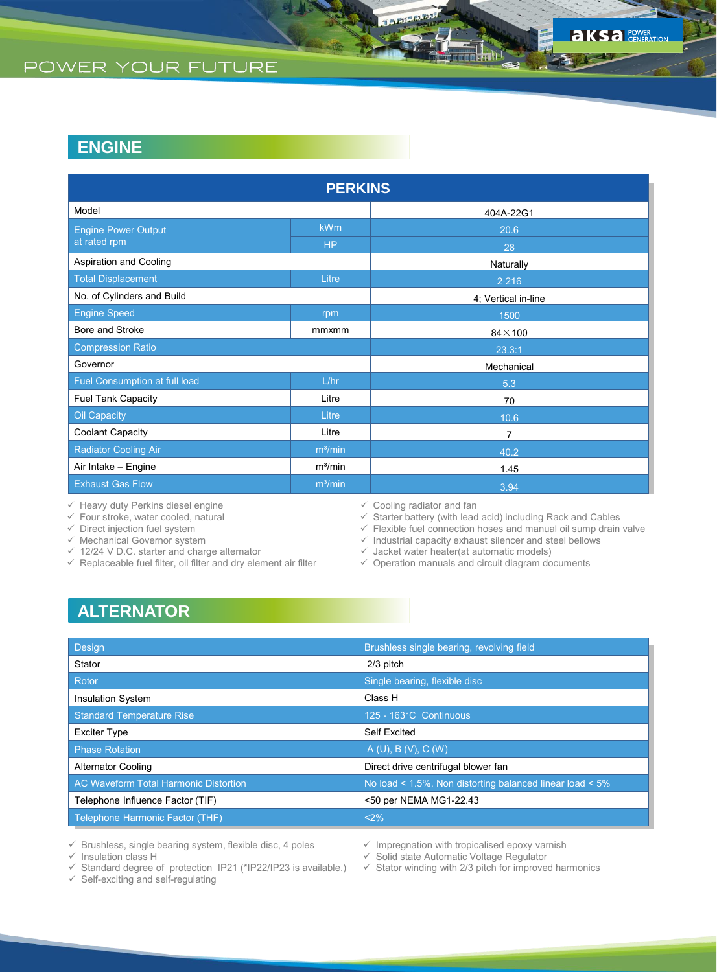| <b>PERKINS</b>                |                     |                     |  |  |  |
|-------------------------------|---------------------|---------------------|--|--|--|
| Model                         |                     | 404A-22G1           |  |  |  |
| <b>Engine Power Output</b>    | <b>kWm</b>          | 20.6                |  |  |  |
| at rated rpm                  | H <sub>P</sub>      | 28                  |  |  |  |
| Aspiration and Cooling        |                     | Naturally           |  |  |  |
| <b>Total Displacement</b>     | Litre               | 2.216               |  |  |  |
| No. of Cylinders and Build    |                     | 4; Vertical in-line |  |  |  |
| <b>Engine Speed</b>           | rpm                 | 1500                |  |  |  |
| Bore and Stroke               | mmxmm               | $84\times100$       |  |  |  |
| <b>Compression Ratio</b>      |                     | 23.3:1              |  |  |  |
| Governor                      |                     | Mechanical          |  |  |  |
| Fuel Consumption at full load | L/hr                | 5.3                 |  |  |  |
| Fuel Tank Capacity            | Litre               | 70                  |  |  |  |
| Oil Capacity                  | Litre               | 10.6                |  |  |  |
| Coolant Capacity              | Litre               | $\overline{7}$      |  |  |  |
| <b>Radiator Cooling Air</b>   | m <sup>3</sup> /min | 40.2                |  |  |  |
| Air Intake - Engine           | m <sup>3</sup> /min | 1.45                |  |  |  |
| <b>Exhaust Gas Flow</b>       | m <sup>3</sup> /min | 3.94                |  |  |  |

 $\checkmark$  Heavy duty Perkins diesel engine

 $\checkmark$  Four stroke, water cooled, natural

 $\checkmark$  Direct injection fuel system

 $\checkmark$  Mechanical Governor system

- $\checkmark$  12/24 V D.C. starter and charge alternator
- $\checkmark$  Replaceable fuel filter, oil filter and dry element air filter
- $\checkmark$  Cooling radiator and fan<br> $\checkmark$  Starter battery (with lead

 $\checkmark$  Starter battery (with lead acid) including Rack and Cables  $\checkmark$  Flexible fuel connection hoses and manual oil sump drain

Flexible fuel connection hoses and manual oil sump drain valve

 $\checkmark$  Industrial capacity exhaust silencer and steel bellows

 $\checkmark$  Jacket water heater(at automatic models)

 $\checkmark$  Operation manuals and circuit diagram documents

## **ALTERNATOR**

| <b>Design</b>                                | Brushless single bearing, revolving field                |
|----------------------------------------------|----------------------------------------------------------|
| Stator                                       | 2/3 pitch                                                |
| Rotor                                        | Single bearing, flexible disc                            |
| <b>Insulation System</b>                     | Class H                                                  |
| <b>Standard Temperature Rise</b>             | 125 - 163°C Continuous                                   |
| <b>Exciter Type</b>                          | Self Excited                                             |
| <b>Phase Rotation</b>                        | A(U), B(V), C(W)                                         |
| <b>Alternator Cooling</b>                    | Direct drive centrifugal blower fan                      |
| <b>AC Waveform Total Harmonic Distortion</b> | No load < 1.5%. Non distorting balanced linear load < 5% |
| Telephone Influence Factor (TIF)             | <50 per NEMA MG1-22.43                                   |
| Telephone Harmonic Factor (THF)              | $< 2\%$                                                  |

 $\checkmark$  Brushless, single bearing system, flexible disc, 4 poles

 $\checkmark$  Insulation class H

Standard degree of protection IP21 (\*IP22/IP23 is available.)

 $\checkmark$  Self-exciting and self-regulating

 $\checkmark$  Impregnation with tropicalised epoxy varnish

 $\checkmark$  Solid state Automatic Voltage Regulator

 $\checkmark$  Stator winding with 2/3 pitch for improved harmonics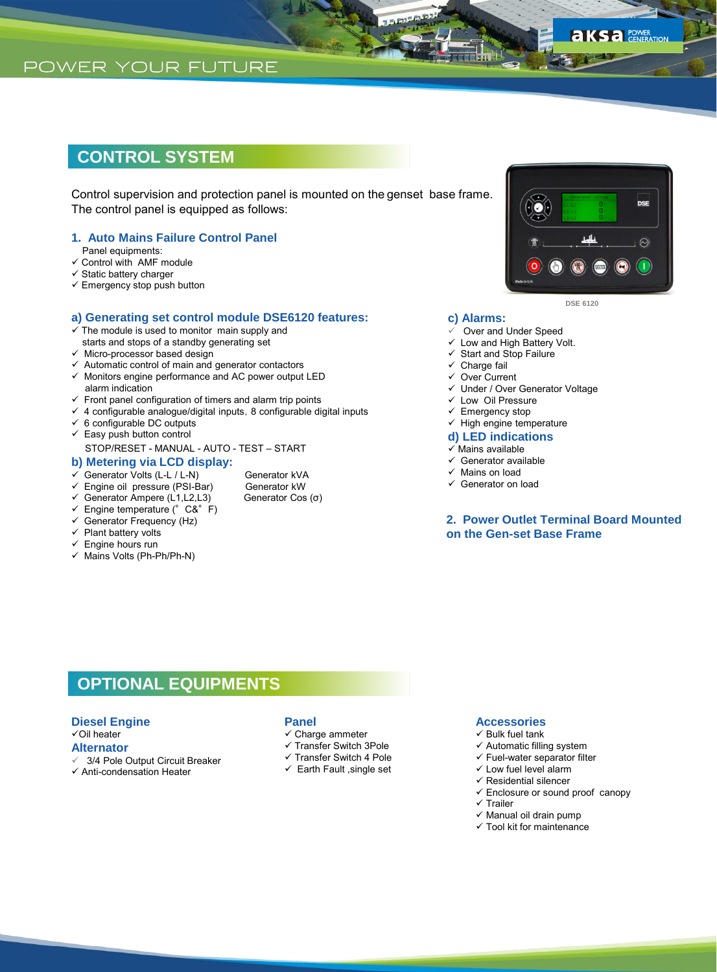## **CONTROL SYSTEM**

Control supervision and protection panel is mounted on the genset base frame. The control panel is equipped as follows:

### **1. Auto Mains Failure Control Panel**

- Panel equipments:
- $\checkmark$  Control with AMF module
- $\checkmark$  Static battery charger
- $\checkmark$  Emergency stop push button

### **a) Generating set control module DSE6120 features:**

- $\checkmark$  The module is used to monitor main supply and starts and stops of a standby generating set
- $\checkmark$  Micro-processor based design
- $\checkmark$  Automatic control of main and generator contactors
- $\checkmark$  Monitors engine performance and AC power output LED alarm indication
- $\checkmark$  Front panel configuration of timers and alarm trip points
- $4$  configurable analogue/digital inputs, 8 configurable digital inputs
- $6$  configurable DC outputs
- $\checkmark$  Easy push button control
- STOP/RESET MANUAL AUTO TEST START

### **b) Metering via LCD display:**

- $\checkmark$  Generator Volts (L-L / L-N)<br>  $\checkmark$  Engine oil pressure (PSI-Bar) Generator kW
- Engine oil pressure (PSI-Bar) Generator kW<br>Generator Ampere (L1,L2,L3) Generator Cos (σ)
- $\checkmark$  Generator Ampere (L1, L2, L3)
- $\checkmark$  Engine temperature (°C&°F)
- $\checkmark$  Generator Frequency (Hz)
- $\checkmark$  Plant battery volts
- $\checkmark$  Engine hours run
- $\checkmark$  Mains Volts (Ph-Ph/Ph-N)



**DSE 6120**

#### **c) Alarms:**

- $\checkmark$  Over and Under Speed<br> $\checkmark$  I ow and High Battery V
- Low and High Battery Volt.
- Start and Stop Failure
- $\checkmark$  Charge fail
- Over Current
- Under / Over Generator Voltage
- $\checkmark$  Low Oil Pressure
- $\checkmark$  Emergency stop
- $\checkmark$  High engine temperature

#### **d) LED indications**

- $\checkmark$  Mains available
- $\checkmark$  Generator available
- $\checkmark$  Mains on load
- Generator on load

### **2. Power Outlet Terminal Board Mounted on the Gen-set Base Frame**

### **OPTIONAL EQUIPMENTS**

#### **Diesel Engine**

Oil heater

### **Alternator**

- 3/4 Pole Output Circuit Breaker
- $\checkmark$  Anti-condensation Heater

### **Panel**

- $\checkmark$  Charge ammeter
- $\checkmark$  Transfer Switch 3Pole
- $\checkmark$  Transfer Switch 4 Pole
- $\checkmark$  Earth Fault , single set

#### **Accessories**

- $\checkmark$  Bulk fuel tank
- $\checkmark$  Automatic filling system
- $\checkmark$  Fuel-water separator filter
- $\checkmark$  Low fuel level alarm
- $\checkmark$  Residential silencer
- $\checkmark$  Enclosure or sound proof canopy
- $\checkmark$  Trailer
- $\checkmark$  Manual oil drain pump
- $\checkmark$  Tool kit for maintenance